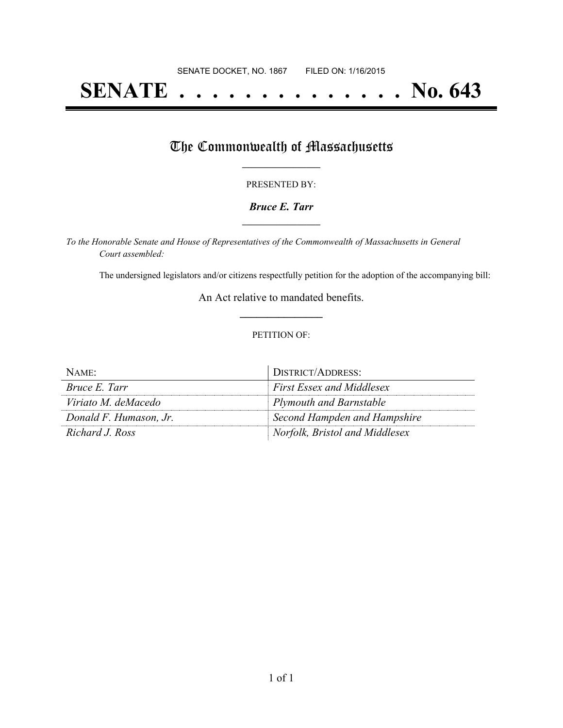# **SENATE . . . . . . . . . . . . . . No. 643**

# The Commonwealth of Massachusetts

#### PRESENTED BY:

#### *Bruce E. Tarr* **\_\_\_\_\_\_\_\_\_\_\_\_\_\_\_\_\_**

*To the Honorable Senate and House of Representatives of the Commonwealth of Massachusetts in General Court assembled:*

The undersigned legislators and/or citizens respectfully petition for the adoption of the accompanying bill:

An Act relative to mandated benefits. **\_\_\_\_\_\_\_\_\_\_\_\_\_\_\_**

#### PETITION OF:

| NAME:                  | DISTRICT/ADDRESS:                |
|------------------------|----------------------------------|
| Bruce E. Tarr          | <b>First Essex and Middlesex</b> |
| Viriato M. deMacedo    | <b>Plymouth and Barnstable</b>   |
| Donald F. Humason, Jr. | Second Hampden and Hampshire     |
| Richard J. Ross        | Norfolk, Bristol and Middlesex   |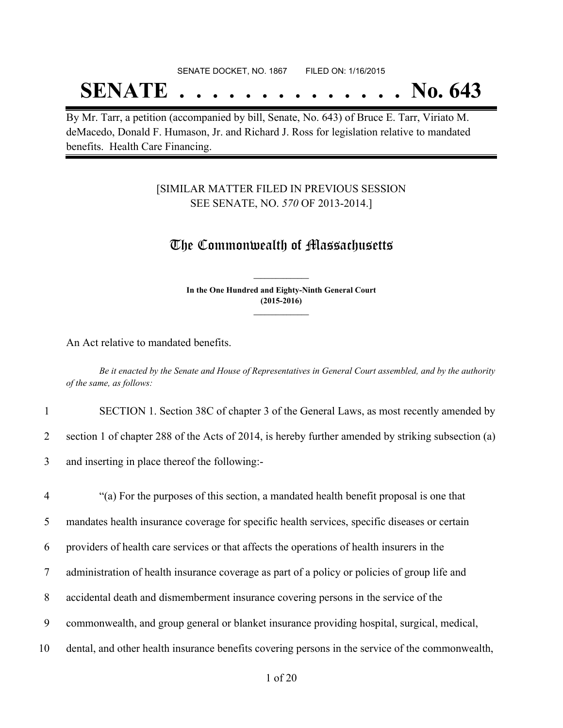## SENATE DOCKET, NO. 1867 FILED ON: 1/16/2015 **SENATE . . . . . . . . . . . . . . No. 643**

By Mr. Tarr, a petition (accompanied by bill, Senate, No. 643) of Bruce E. Tarr, Viriato M. deMacedo, Donald F. Humason, Jr. and Richard J. Ross for legislation relative to mandated benefits. Health Care Financing.

## [SIMILAR MATTER FILED IN PREVIOUS SESSION SEE SENATE, NO. *570* OF 2013-2014.]

## The Commonwealth of Massachusetts

**In the One Hundred and Eighty-Ninth General Court (2015-2016) \_\_\_\_\_\_\_\_\_\_\_\_\_\_\_**

**\_\_\_\_\_\_\_\_\_\_\_\_\_\_\_**

An Act relative to mandated benefits.

Be it enacted by the Senate and House of Representatives in General Court assembled, and by the authority *of the same, as follows:*

1 SECTION 1. Section 38C of chapter 3 of the General Laws, as most recently amended by

2 section 1 of chapter 288 of the Acts of 2014, is hereby further amended by striking subsection (a)

- 3 and inserting in place thereof the following:-
- 4 "(a) For the purposes of this section, a mandated health benefit proposal is one that 5 mandates health insurance coverage for specific health services, specific diseases or certain 6 providers of health care services or that affects the operations of health insurers in the 7 administration of health insurance coverage as part of a policy or policies of group life and 8 accidental death and dismemberment insurance covering persons in the service of the 9 commonwealth, and group general or blanket insurance providing hospital, surgical, medical, 10 dental, and other health insurance benefits covering persons in the service of the commonwealth,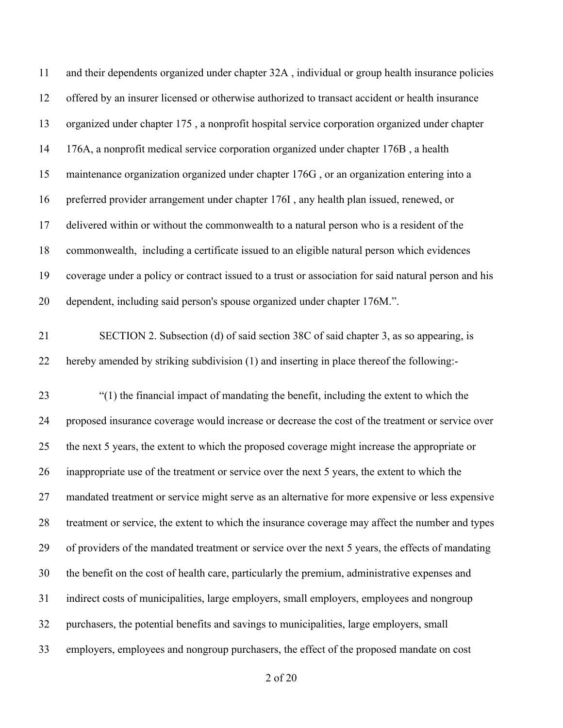| 11 | and their dependents organized under chapter 32A, individual or group health insurance policies      |
|----|------------------------------------------------------------------------------------------------------|
| 12 | offered by an insurer licensed or otherwise authorized to transact accident or health insurance      |
| 13 | organized under chapter 175, a nonprofit hospital service corporation organized under chapter        |
| 14 | 176A, a nonprofit medical service corporation organized under chapter 176B, a health                 |
| 15 | maintenance organization organized under chapter 176G, or an organization entering into a            |
| 16 | preferred provider arrangement under chapter 176I, any health plan issued, renewed, or               |
| 17 | delivered within or without the commonwealth to a natural person who is a resident of the            |
| 18 | commonwealth, including a certificate issued to an eligible natural person which evidences           |
| 19 | coverage under a policy or contract issued to a trust or association for said natural person and his |
| 20 | dependent, including said person's spouse organized under chapter 176M.".                            |
| 21 | SECTION 2. Subsection (d) of said section 38C of said chapter 3, as so appearing, is                 |
| 22 | hereby amended by striking subdivision (1) and inserting in place thereof the following:-            |
| 23 | "(1) the financial impact of mandating the benefit, including the extent to which the                |
| 24 | proposed insurance coverage would increase or decrease the cost of the treatment or service over     |
| 25 | the next 5 years, the extent to which the proposed coverage might increase the appropriate or        |
| 26 | inappropriate use of the treatment or service over the next 5 years, the extent to which the         |
| 27 | mandated treatment or service might serve as an alternative for more expensive or less expensive     |
| 28 | treatment or service, the extent to which the insurance coverage may affect the number and types     |
| 29 | of providers of the mandated treatment or service over the next 5 years, the effects of mandating    |
| 30 | the benefit on the cost of health care, particularly the premium, administrative expenses and        |
| 31 | indirect costs of municipalities, large employers, small employers, employees and nongroup           |
| 32 | purchasers, the potential benefits and savings to municipalities, large employers, small             |
| 33 | employers, employees and nongroup purchasers, the effect of the proposed mandate on cost             |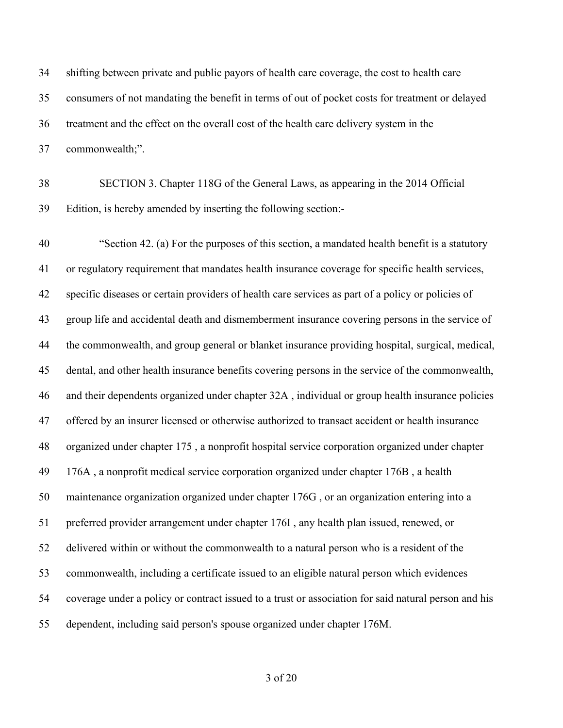shifting between private and public payors of health care coverage, the cost to health care consumers of not mandating the benefit in terms of out of pocket costs for treatment or delayed treatment and the effect on the overall cost of the health care delivery system in the commonwealth;".

 SECTION 3. Chapter 118G of the General Laws, as appearing in the 2014 Official Edition, is hereby amended by inserting the following section:-

 "Section 42. (a) For the purposes of this section, a mandated health benefit is a statutory or regulatory requirement that mandates health insurance coverage for specific health services, specific diseases or certain providers of health care services as part of a policy or policies of group life and accidental death and dismemberment insurance covering persons in the service of the commonwealth, and group general or blanket insurance providing hospital, surgical, medical, dental, and other health insurance benefits covering persons in the service of the commonwealth, and their dependents organized under chapter 32A , individual or group health insurance policies offered by an insurer licensed or otherwise authorized to transact accident or health insurance organized under chapter 175 , a nonprofit hospital service corporation organized under chapter 176A , a nonprofit medical service corporation organized under chapter 176B , a health maintenance organization organized under chapter 176G , or an organization entering into a preferred provider arrangement under chapter 176I , any health plan issued, renewed, or delivered within or without the commonwealth to a natural person who is a resident of the commonwealth, including a certificate issued to an eligible natural person which evidences coverage under a policy or contract issued to a trust or association for said natural person and his dependent, including said person's spouse organized under chapter 176M.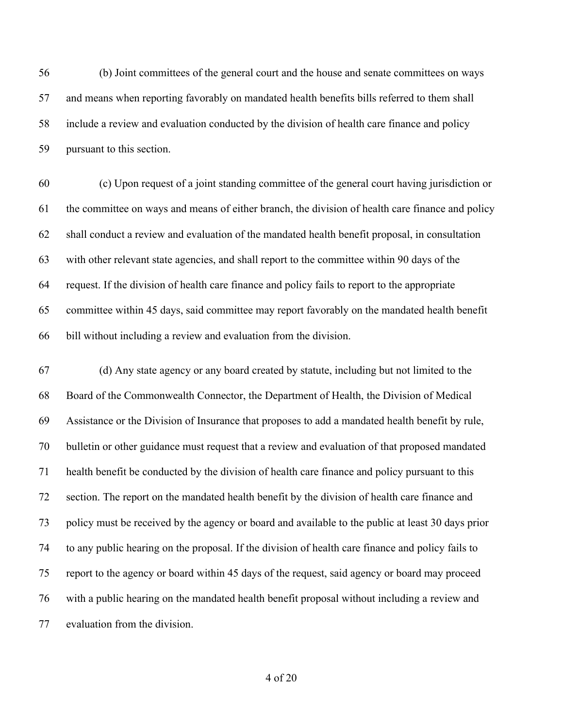(b) Joint committees of the general court and the house and senate committees on ways and means when reporting favorably on mandated health benefits bills referred to them shall include a review and evaluation conducted by the division of health care finance and policy pursuant to this section.

 (c) Upon request of a joint standing committee of the general court having jurisdiction or the committee on ways and means of either branch, the division of health care finance and policy shall conduct a review and evaluation of the mandated health benefit proposal, in consultation with other relevant state agencies, and shall report to the committee within 90 days of the request. If the division of health care finance and policy fails to report to the appropriate committee within 45 days, said committee may report favorably on the mandated health benefit bill without including a review and evaluation from the division.

 (d) Any state agency or any board created by statute, including but not limited to the Board of the Commonwealth Connector, the Department of Health, the Division of Medical Assistance or the Division of Insurance that proposes to add a mandated health benefit by rule, bulletin or other guidance must request that a review and evaluation of that proposed mandated health benefit be conducted by the division of health care finance and policy pursuant to this section. The report on the mandated health benefit by the division of health care finance and policy must be received by the agency or board and available to the public at least 30 days prior to any public hearing on the proposal. If the division of health care finance and policy fails to report to the agency or board within 45 days of the request, said agency or board may proceed with a public hearing on the mandated health benefit proposal without including a review and evaluation from the division.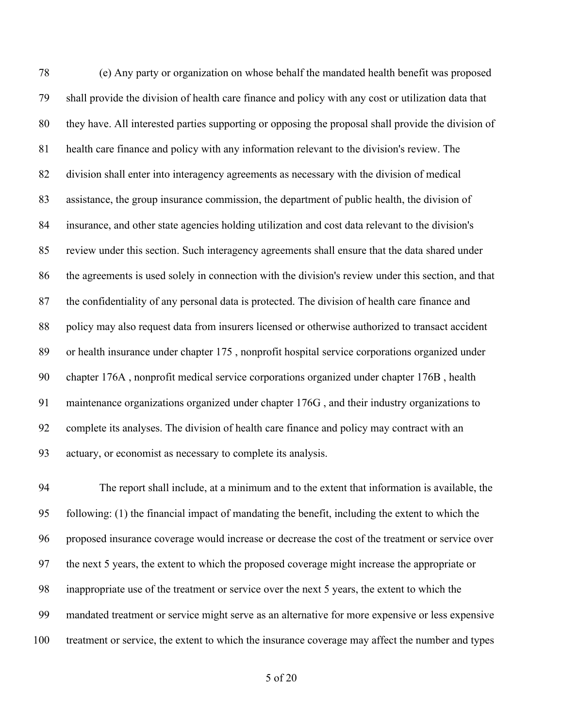(e) Any party or organization on whose behalf the mandated health benefit was proposed shall provide the division of health care finance and policy with any cost or utilization data that they have. All interested parties supporting or opposing the proposal shall provide the division of health care finance and policy with any information relevant to the division's review. The division shall enter into interagency agreements as necessary with the division of medical assistance, the group insurance commission, the department of public health, the division of insurance, and other state agencies holding utilization and cost data relevant to the division's review under this section. Such interagency agreements shall ensure that the data shared under the agreements is used solely in connection with the division's review under this section, and that the confidentiality of any personal data is protected. The division of health care finance and policy may also request data from insurers licensed or otherwise authorized to transact accident or health insurance under chapter 175 , nonprofit hospital service corporations organized under chapter 176A , nonprofit medical service corporations organized under chapter 176B , health maintenance organizations organized under chapter 176G , and their industry organizations to complete its analyses. The division of health care finance and policy may contract with an actuary, or economist as necessary to complete its analysis.

 The report shall include, at a minimum and to the extent that information is available, the following: (1) the financial impact of mandating the benefit, including the extent to which the proposed insurance coverage would increase or decrease the cost of the treatment or service over the next 5 years, the extent to which the proposed coverage might increase the appropriate or inappropriate use of the treatment or service over the next 5 years, the extent to which the mandated treatment or service might serve as an alternative for more expensive or less expensive treatment or service, the extent to which the insurance coverage may affect the number and types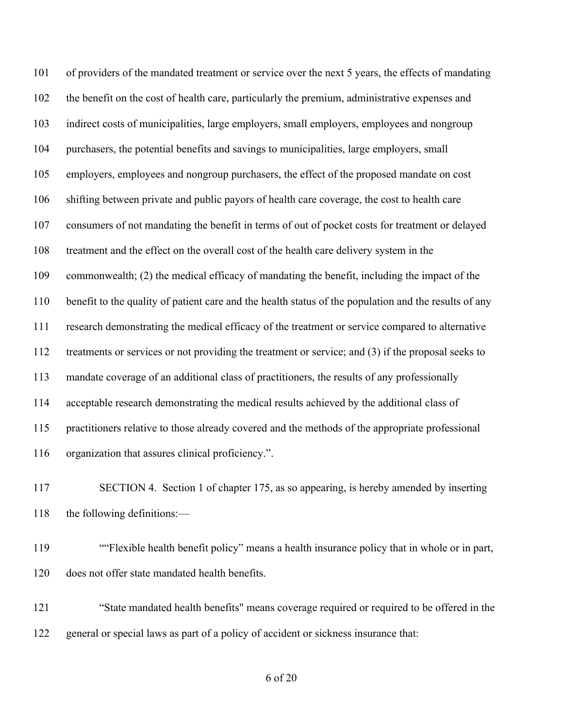of providers of the mandated treatment or service over the next 5 years, the effects of mandating the benefit on the cost of health care, particularly the premium, administrative expenses and indirect costs of municipalities, large employers, small employers, employees and nongroup purchasers, the potential benefits and savings to municipalities, large employers, small employers, employees and nongroup purchasers, the effect of the proposed mandate on cost shifting between private and public payors of health care coverage, the cost to health care consumers of not mandating the benefit in terms of out of pocket costs for treatment or delayed treatment and the effect on the overall cost of the health care delivery system in the commonwealth; (2) the medical efficacy of mandating the benefit, including the impact of the benefit to the quality of patient care and the health status of the population and the results of any research demonstrating the medical efficacy of the treatment or service compared to alternative treatments or services or not providing the treatment or service; and (3) if the proposal seeks to mandate coverage of an additional class of practitioners, the results of any professionally acceptable research demonstrating the medical results achieved by the additional class of practitioners relative to those already covered and the methods of the appropriate professional organization that assures clinical proficiency.".

 SECTION 4. Section 1 of chapter 175, as so appearing, is hereby amended by inserting the following definitions:—

 ""Flexible health benefit policy" means a health insurance policy that in whole or in part, does not offer state mandated health benefits.

 "State mandated health benefits" means coverage required or required to be offered in the general or special laws as part of a policy of accident or sickness insurance that: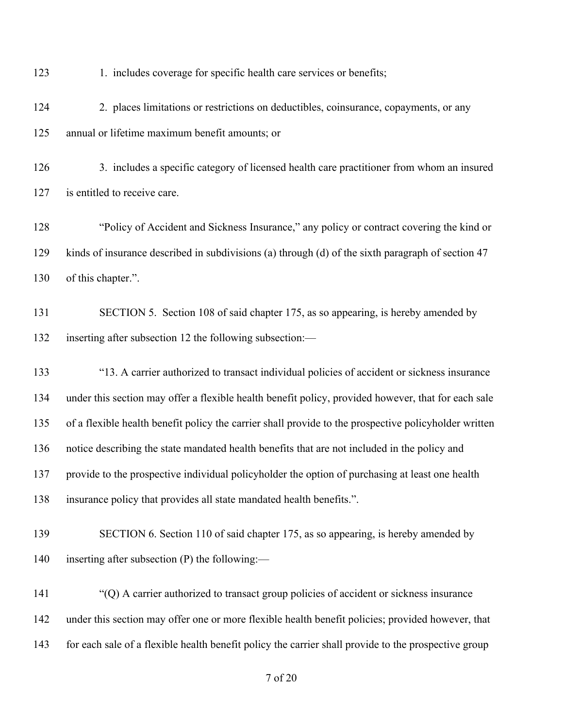123 1. includes coverage for specific health care services or benefits;

 2. places limitations or restrictions on deductibles, coinsurance, copayments, or any annual or lifetime maximum benefit amounts; or

 3. includes a specific category of licensed health care practitioner from whom an insured 127 is entitled to receive care.

 "Policy of Accident and Sickness Insurance," any policy or contract covering the kind or kinds of insurance described in subdivisions (a) through (d) of the sixth paragraph of section 47 of this chapter.".

131 SECTION 5. Section 108 of said chapter 175, as so appearing, is hereby amended by inserting after subsection 12 the following subsection:—

 "13. A carrier authorized to transact individual policies of accident or sickness insurance under this section may offer a flexible health benefit policy, provided however, that for each sale of a flexible health benefit policy the carrier shall provide to the prospective policyholder written notice describing the state mandated health benefits that are not included in the policy and provide to the prospective individual policyholder the option of purchasing at least one health insurance policy that provides all state mandated health benefits.".

 SECTION 6. Section 110 of said chapter 175, as so appearing, is hereby amended by inserting after subsection (P) the following:—

 "(Q) A carrier authorized to transact group policies of accident or sickness insurance under this section may offer one or more flexible health benefit policies; provided however, that for each sale of a flexible health benefit policy the carrier shall provide to the prospective group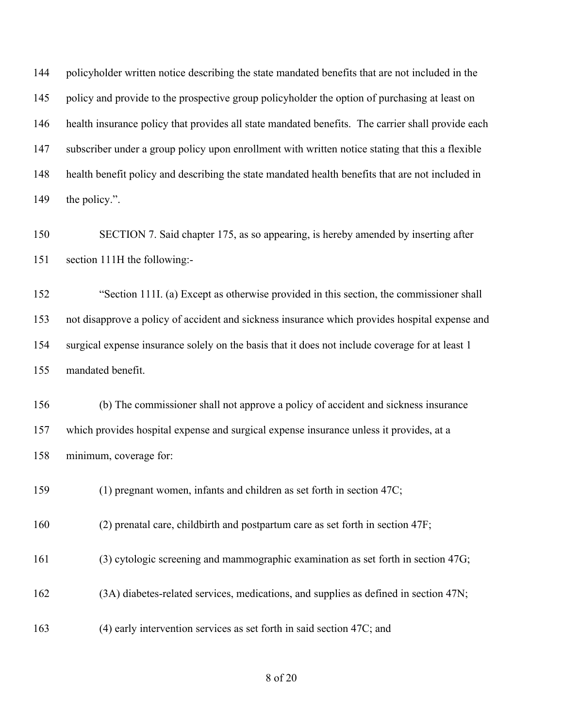policyholder written notice describing the state mandated benefits that are not included in the 145 policy and provide to the prospective group policyholder the option of purchasing at least on health insurance policy that provides all state mandated benefits. The carrier shall provide each subscriber under a group policy upon enrollment with written notice stating that this a flexible health benefit policy and describing the state mandated health benefits that are not included in 149 the policy.".

 SECTION 7. Said chapter 175, as so appearing, is hereby amended by inserting after section 111H the following:-

 "Section 111I. (a) Except as otherwise provided in this section, the commissioner shall not disapprove a policy of accident and sickness insurance which provides hospital expense and surgical expense insurance solely on the basis that it does not include coverage for at least 1 mandated benefit.

 (b) The commissioner shall not approve a policy of accident and sickness insurance which provides hospital expense and surgical expense insurance unless it provides, at a minimum, coverage for:

(1) pregnant women, infants and children as set forth in section 47C;

(2) prenatal care, childbirth and postpartum care as set forth in section 47F;

(3) cytologic screening and mammographic examination as set forth in section 47G;

(3A) diabetes-related services, medications, and supplies as defined in section 47N;

(4) early intervention services as set forth in said section 47C; and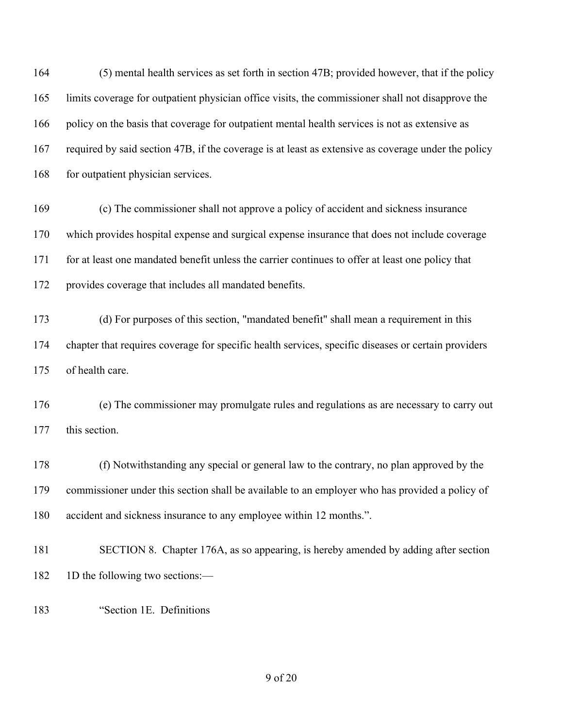(5) mental health services as set forth in section 47B; provided however, that if the policy limits coverage for outpatient physician office visits, the commissioner shall not disapprove the 166 policy on the basis that coverage for outpatient mental health services is not as extensive as required by said section 47B, if the coverage is at least as extensive as coverage under the policy 168 for outpatient physician services.

 (c) The commissioner shall not approve a policy of accident and sickness insurance which provides hospital expense and surgical expense insurance that does not include coverage for at least one mandated benefit unless the carrier continues to offer at least one policy that provides coverage that includes all mandated benefits.

 (d) For purposes of this section, "mandated benefit" shall mean a requirement in this chapter that requires coverage for specific health services, specific diseases or certain providers of health care.

 (e) The commissioner may promulgate rules and regulations as are necessary to carry out 177 this section.

 (f) Notwithstanding any special or general law to the contrary, no plan approved by the commissioner under this section shall be available to an employer who has provided a policy of accident and sickness insurance to any employee within 12 months.".

- SECTION 8. Chapter 176A, as so appearing, is hereby amended by adding after section 182 1D the following two sections:—
- "Section 1E. Definitions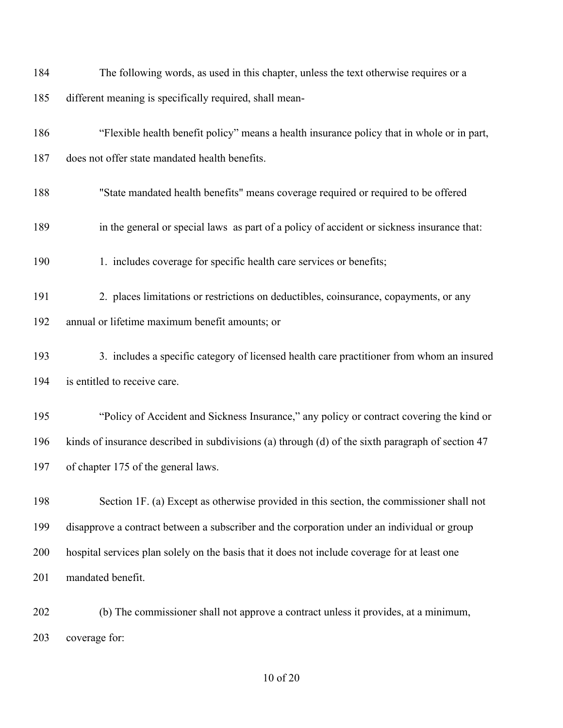| 184 | The following words, as used in this chapter, unless the text otherwise requires or a             |
|-----|---------------------------------------------------------------------------------------------------|
| 185 | different meaning is specifically required, shall mean-                                           |
| 186 | "Flexible health benefit policy" means a health insurance policy that in whole or in part,        |
| 187 | does not offer state mandated health benefits.                                                    |
| 188 | "State mandated health benefits" means coverage required or required to be offered                |
| 189 | in the general or special laws as part of a policy of accident or sickness insurance that:        |
| 190 | 1. includes coverage for specific health care services or benefits;                               |
| 191 | 2. places limitations or restrictions on deductibles, coinsurance, copayments, or any             |
| 192 | annual or lifetime maximum benefit amounts; or                                                    |
| 193 | 3. includes a specific category of licensed health care practitioner from whom an insured         |
| 194 | is entitled to receive care.                                                                      |
| 195 | "Policy of Accident and Sickness Insurance," any policy or contract covering the kind or          |
| 196 | kinds of insurance described in subdivisions (a) through (d) of the sixth paragraph of section 47 |
| 197 | of chapter 175 of the general laws.                                                               |
| 198 | Section 1F. (a) Except as otherwise provided in this section, the commissioner shall not          |
| 199 | disapprove a contract between a subscriber and the corporation under an individual or group       |
| 200 | hospital services plan solely on the basis that it does not include coverage for at least one     |
| 201 | mandated benefit.                                                                                 |
| 202 | (b) The commissioner shall not approve a contract unless it provides, at a minimum,               |

coverage for: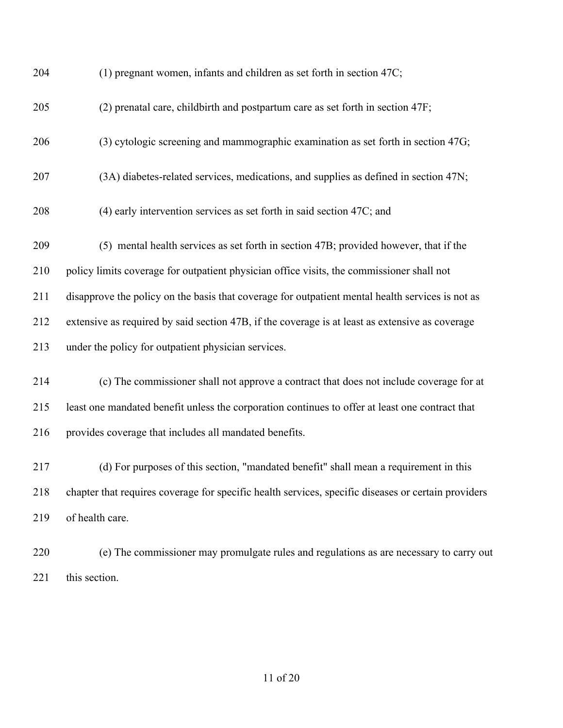| 204 | (1) pregnant women, infants and children as set forth in section 47C;                               |
|-----|-----------------------------------------------------------------------------------------------------|
| 205 | (2) prenatal care, childbirth and postpartum care as set forth in section 47F;                      |
| 206 | (3) cytologic screening and mammographic examination as set forth in section 47G;                   |
| 207 | (3A) diabetes-related services, medications, and supplies as defined in section 47N;                |
| 208 | (4) early intervention services as set forth in said section 47C; and                               |
| 209 | (5) mental health services as set forth in section 47B; provided however, that if the               |
| 210 | policy limits coverage for outpatient physician office visits, the commissioner shall not           |
| 211 | disapprove the policy on the basis that coverage for outpatient mental health services is not as    |
| 212 | extensive as required by said section 47B, if the coverage is at least as extensive as coverage     |
| 213 | under the policy for outpatient physician services.                                                 |
| 214 | (c) The commissioner shall not approve a contract that does not include coverage for at             |
| 215 | least one mandated benefit unless the corporation continues to offer at least one contract that     |
| 216 | provides coverage that includes all mandated benefits.                                              |
| 217 | (d) For purposes of this section, "mandated benefit" shall mean a requirement in this               |
| 218 | chapter that requires coverage for specific health services, specific diseases or certain providers |
| 219 | of health care.                                                                                     |
| 220 | (e) The commissioner may promulgate rules and regulations as are necessary to carry out             |
| 221 | this section.                                                                                       |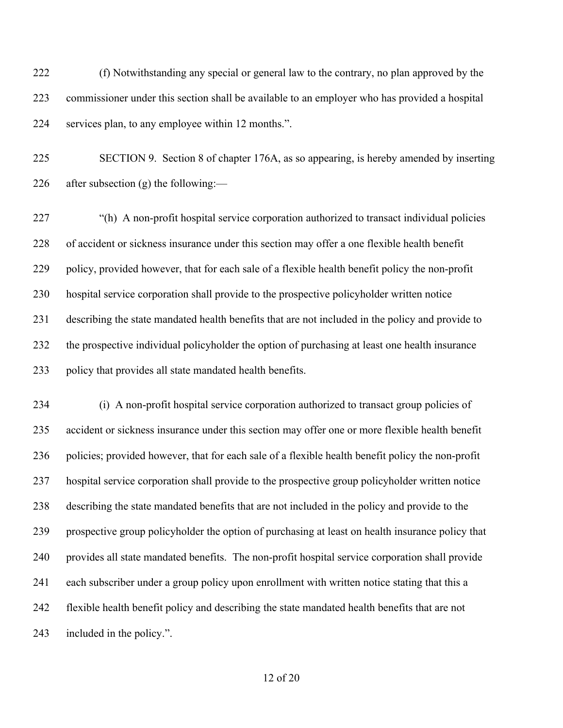(f) Notwithstanding any special or general law to the contrary, no plan approved by the commissioner under this section shall be available to an employer who has provided a hospital services plan, to any employee within 12 months.".

 SECTION 9. Section 8 of chapter 176A, as so appearing, is hereby amended by inserting 226 after subsection  $(g)$  the following:—

227 "(h) A non-profit hospital service corporation authorized to transact individual policies of accident or sickness insurance under this section may offer a one flexible health benefit policy, provided however, that for each sale of a flexible health benefit policy the non-profit hospital service corporation shall provide to the prospective policyholder written notice describing the state mandated health benefits that are not included in the policy and provide to the prospective individual policyholder the option of purchasing at least one health insurance policy that provides all state mandated health benefits.

 (i) A non-profit hospital service corporation authorized to transact group policies of accident or sickness insurance under this section may offer one or more flexible health benefit policies; provided however, that for each sale of a flexible health benefit policy the non-profit hospital service corporation shall provide to the prospective group policyholder written notice describing the state mandated benefits that are not included in the policy and provide to the prospective group policyholder the option of purchasing at least on health insurance policy that provides all state mandated benefits. The non-profit hospital service corporation shall provide each subscriber under a group policy upon enrollment with written notice stating that this a flexible health benefit policy and describing the state mandated health benefits that are not included in the policy.".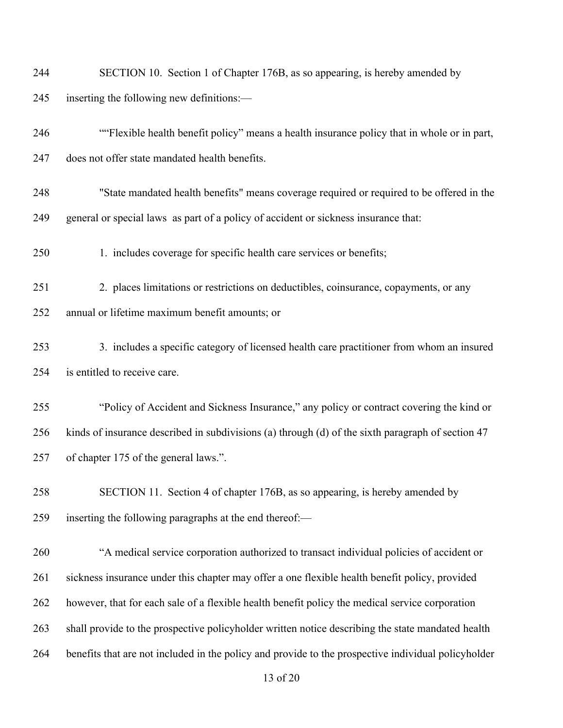| 244 | SECTION 10. Section 1 of Chapter 176B, as so appearing, is hereby amended by                        |
|-----|-----------------------------------------------------------------------------------------------------|
| 245 | inserting the following new definitions:-                                                           |
| 246 | ""Flexible health benefit policy" means a health insurance policy that in whole or in part,         |
| 247 | does not offer state mandated health benefits.                                                      |
| 248 | "State mandated health benefits" means coverage required or required to be offered in the           |
| 249 | general or special laws as part of a policy of accident or sickness insurance that:                 |
| 250 | 1. includes coverage for specific health care services or benefits;                                 |
| 251 | 2. places limitations or restrictions on deductibles, coinsurance, copayments, or any               |
| 252 | annual or lifetime maximum benefit amounts; or                                                      |
| 253 | 3. includes a specific category of licensed health care practitioner from whom an insured           |
| 254 | is entitled to receive care.                                                                        |
| 255 | "Policy of Accident and Sickness Insurance," any policy or contract covering the kind or            |
| 256 | kinds of insurance described in subdivisions (a) through (d) of the sixth paragraph of section 47   |
| 257 | of chapter 175 of the general laws.".                                                               |
| 258 | SECTION 11. Section 4 of chapter 176B, as so appearing, is hereby amended by                        |
| 259 | inserting the following paragraphs at the end thereof:—                                             |
| 260 | "A medical service corporation authorized to transact individual policies of accident or            |
| 261 | sickness insurance under this chapter may offer a one flexible health benefit policy, provided      |
| 262 | however, that for each sale of a flexible health benefit policy the medical service corporation     |
| 263 | shall provide to the prospective policyholder written notice describing the state mandated health   |
| 264 | benefits that are not included in the policy and provide to the prospective individual policyholder |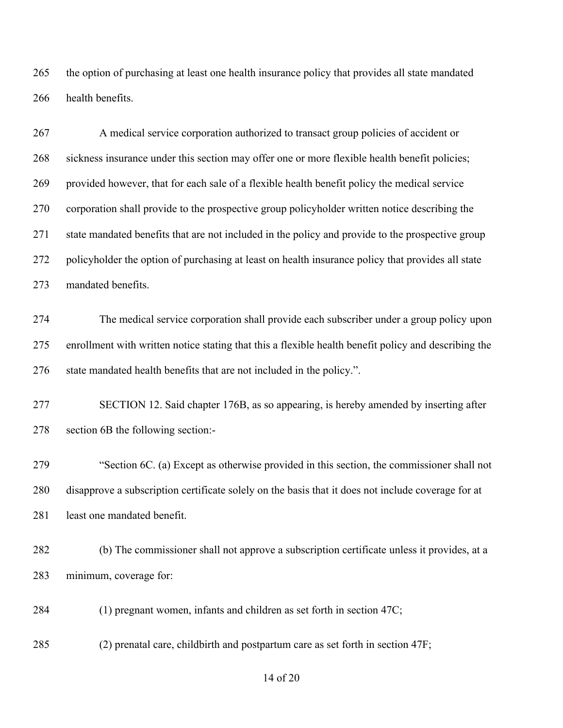the option of purchasing at least one health insurance policy that provides all state mandated health benefits.

 A medical service corporation authorized to transact group policies of accident or sickness insurance under this section may offer one or more flexible health benefit policies; provided however, that for each sale of a flexible health benefit policy the medical service corporation shall provide to the prospective group policyholder written notice describing the state mandated benefits that are not included in the policy and provide to the prospective group policyholder the option of purchasing at least on health insurance policy that provides all state mandated benefits.

 The medical service corporation shall provide each subscriber under a group policy upon enrollment with written notice stating that this a flexible health benefit policy and describing the state mandated health benefits that are not included in the policy.".

 SECTION 12. Said chapter 176B, as so appearing, is hereby amended by inserting after section 6B the following section:-

 "Section 6C. (a) Except as otherwise provided in this section, the commissioner shall not disapprove a subscription certificate solely on the basis that it does not include coverage for at least one mandated benefit.

 (b) The commissioner shall not approve a subscription certificate unless it provides, at a minimum, coverage for:

(1) pregnant women, infants and children as set forth in section 47C;

(2) prenatal care, childbirth and postpartum care as set forth in section 47F;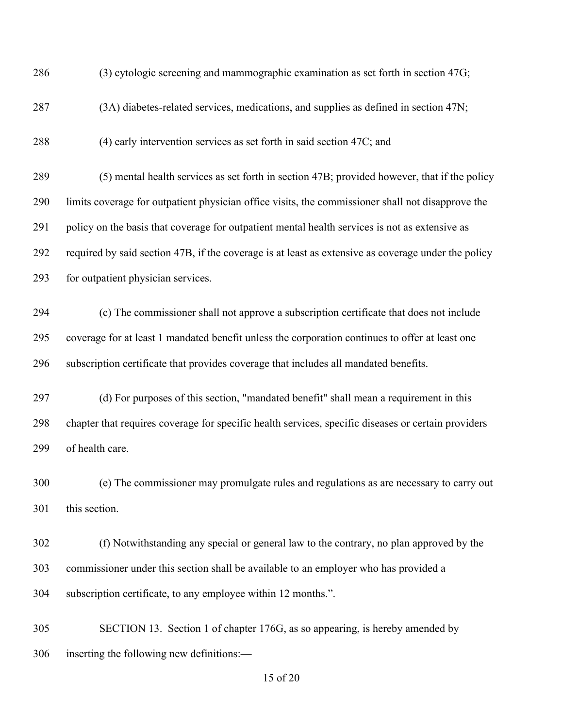| 286 | (3) cytologic screening and mammographic examination as set forth in section 47G;                   |
|-----|-----------------------------------------------------------------------------------------------------|
| 287 | (3A) diabetes-related services, medications, and supplies as defined in section 47N;                |
| 288 | (4) early intervention services as set forth in said section 47C; and                               |
| 289 | (5) mental health services as set forth in section 47B; provided however, that if the policy        |
| 290 | limits coverage for outpatient physician office visits, the commissioner shall not disapprove the   |
| 291 | policy on the basis that coverage for outpatient mental health services is not as extensive as      |
| 292 | required by said section 47B, if the coverage is at least as extensive as coverage under the policy |
| 293 | for outpatient physician services.                                                                  |
| 294 | (c) The commissioner shall not approve a subscription certificate that does not include             |
| 295 | coverage for at least 1 mandated benefit unless the corporation continues to offer at least one     |
| 296 | subscription certificate that provides coverage that includes all mandated benefits.                |
| 297 | (d) For purposes of this section, "mandated benefit" shall mean a requirement in this               |
| 298 | chapter that requires coverage for specific health services, specific diseases or certain providers |
| 299 | of health care.                                                                                     |
| 300 | (e) The commissioner may promulgate rules and regulations as are necessary to carry out             |
| 301 | this section.                                                                                       |
| 302 | (f) Notwithstanding any special or general law to the contrary, no plan approved by the             |
| 303 | commissioner under this section shall be available to an employer who has provided a                |
| 304 | subscription certificate, to any employee within 12 months.".                                       |
| 305 | SECTION 13. Section 1 of chapter 176G, as so appearing, is hereby amended by                        |
| 306 | inserting the following new definitions:-                                                           |
|     | 15 of 20                                                                                            |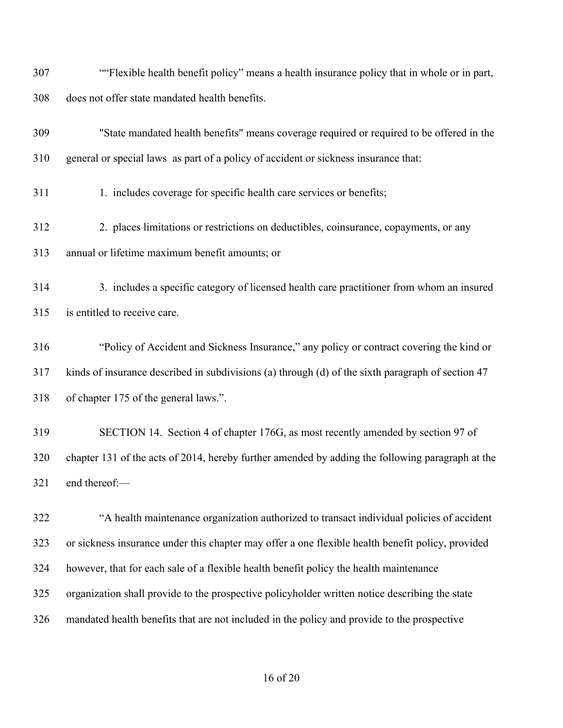| 307 | "Flexible health benefit policy" means a health insurance policy that in whole or in part,        |
|-----|---------------------------------------------------------------------------------------------------|
| 308 | does not offer state mandated health benefits.                                                    |
| 309 | "State mandated health benefits" means coverage required or required to be offered in the         |
| 310 | general or special laws as part of a policy of accident or sickness insurance that:               |
| 311 | 1. includes coverage for specific health care services or benefits;                               |
| 312 | 2. places limitations or restrictions on deductibles, coinsurance, copayments, or any             |
| 313 | annual or lifetime maximum benefit amounts; or                                                    |
| 314 | 3. includes a specific category of licensed health care practitioner from whom an insured         |
| 315 | is entitled to receive care.                                                                      |
| 316 | "Policy of Accident and Sickness Insurance," any policy or contract covering the kind or          |
| 317 | kinds of insurance described in subdivisions (a) through (d) of the sixth paragraph of section 47 |
| 318 | of chapter 175 of the general laws.".                                                             |
| 319 | SECTION 14. Section 4 of chapter 176G, as most recently amended by section 97 of                  |
| 320 | chapter 131 of the acts of 2014, hereby further amended by adding the following paragraph at the  |

end thereof:—

 "A health maintenance organization authorized to transact individual policies of accident or sickness insurance under this chapter may offer a one flexible health benefit policy, provided however, that for each sale of a flexible health benefit policy the health maintenance organization shall provide to the prospective policyholder written notice describing the state mandated health benefits that are not included in the policy and provide to the prospective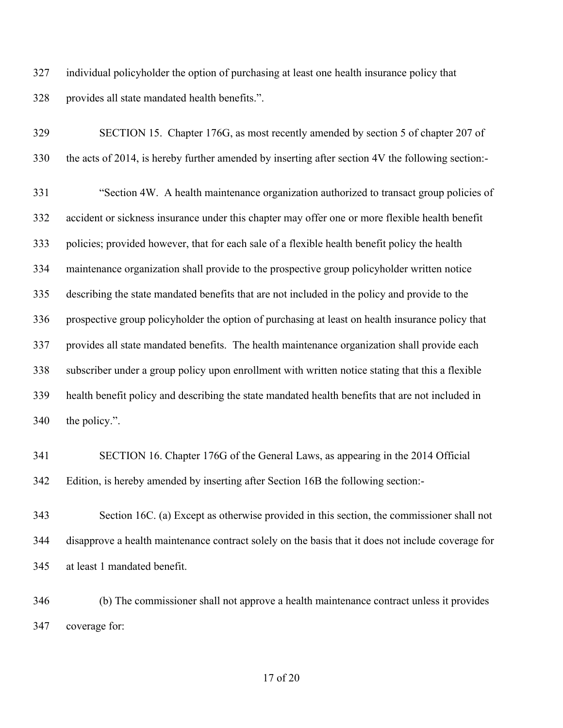individual policyholder the option of purchasing at least one health insurance policy that provides all state mandated health benefits.".

| 329 | SECTION 15. Chapter 176G, as most recently amended by section 5 of chapter 207 of                 |
|-----|---------------------------------------------------------------------------------------------------|
| 330 | the acts of 2014, is hereby further amended by inserting after section 4V the following section:- |
| 331 | "Section 4W. A health maintenance organization authorized to transact group policies of           |
| 332 | accident or sickness insurance under this chapter may offer one or more flexible health benefit   |
| 333 | policies; provided however, that for each sale of a flexible health benefit policy the health     |
| 334 | maintenance organization shall provide to the prospective group policyholder written notice       |
| 335 | describing the state mandated benefits that are not included in the policy and provide to the     |
| 336 | prospective group policyholder the option of purchasing at least on health insurance policy that  |
| 337 | provides all state mandated benefits. The health maintenance organization shall provide each      |
| 338 | subscriber under a group policy upon enrollment with written notice stating that this a flexible  |
| 339 | health benefit policy and describing the state mandated health benefits that are not included in  |
| 340 | the policy.".                                                                                     |
|     |                                                                                                   |

 SECTION 16. Chapter 176G of the General Laws, as appearing in the 2014 Official Edition, is hereby amended by inserting after Section 16B the following section:-

 Section 16C. (a) Except as otherwise provided in this section, the commissioner shall not disapprove a health maintenance contract solely on the basis that it does not include coverage for at least 1 mandated benefit.

 (b) The commissioner shall not approve a health maintenance contract unless it provides coverage for: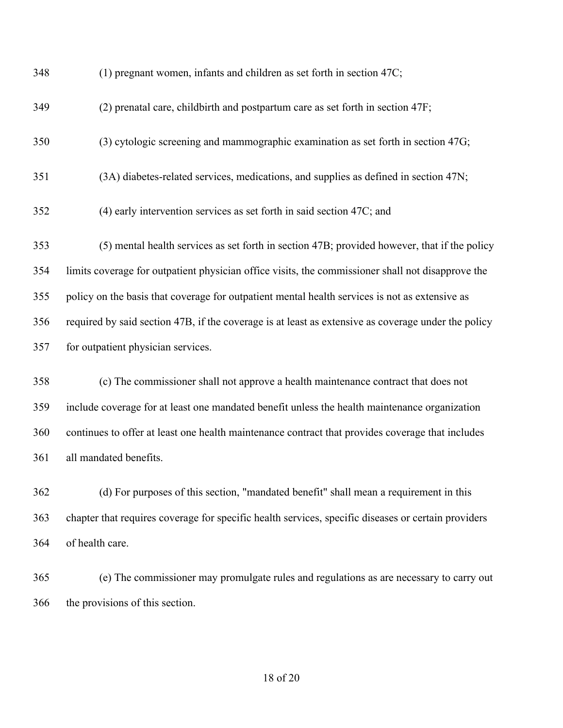| 348 | (1) pregnant women, infants and children as set forth in section 47C;                               |
|-----|-----------------------------------------------------------------------------------------------------|
| 349 | (2) prenatal care, childbirth and postpartum care as set forth in section 47F;                      |
| 350 | (3) cytologic screening and mammographic examination as set forth in section 47G;                   |
| 351 | (3A) diabetes-related services, medications, and supplies as defined in section 47N;                |
| 352 | (4) early intervention services as set forth in said section 47C; and                               |
| 353 | (5) mental health services as set forth in section 47B; provided however, that if the policy        |
| 354 | limits coverage for outpatient physician office visits, the commissioner shall not disapprove the   |
| 355 | policy on the basis that coverage for outpatient mental health services is not as extensive as      |
| 356 | required by said section 47B, if the coverage is at least as extensive as coverage under the policy |
| 357 | for outpatient physician services.                                                                  |
| 358 | (c) The commissioner shall not approve a health maintenance contract that does not                  |
| 359 | include coverage for at least one mandated benefit unless the health maintenance organization       |
| 360 | continues to offer at least one health maintenance contract that provides coverage that includes    |
| 361 | all mandated benefits.                                                                              |
| 362 | (d) For purposes of this section, "mandated benefit" shall mean a requirement in this               |
| 363 | chapter that requires coverage for specific health services, specific diseases or certain providers |
| 364 | of health care.                                                                                     |
| 365 | (e) The commissioner may promulgate rules and regulations as are necessary to carry out             |
| 366 | the provisions of this section.                                                                     |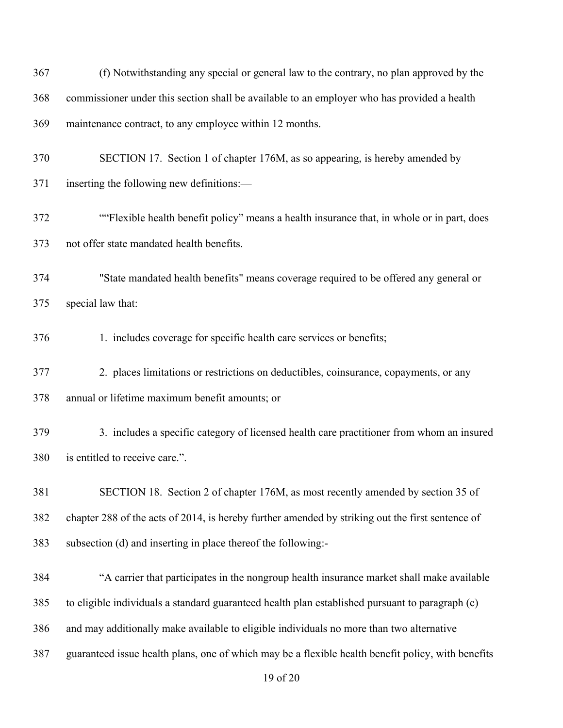| 367 | (f) Notwithstanding any special or general law to the contrary, no plan approved by the            |
|-----|----------------------------------------------------------------------------------------------------|
| 368 | commissioner under this section shall be available to an employer who has provided a health        |
| 369 | maintenance contract, to any employee within 12 months.                                            |
| 370 | SECTION 17. Section 1 of chapter 176M, as so appearing, is hereby amended by                       |
| 371 | inserting the following new definitions:—                                                          |
| 372 | "Flexible health benefit policy" means a health insurance that, in whole or in part, does          |
| 373 | not offer state mandated health benefits.                                                          |
| 374 | "State mandated health benefits" means coverage required to be offered any general or              |
| 375 | special law that:                                                                                  |
| 376 | 1. includes coverage for specific health care services or benefits;                                |
| 377 | 2. places limitations or restrictions on deductibles, coinsurance, copayments, or any              |
| 378 | annual or lifetime maximum benefit amounts; or                                                     |
| 379 | 3. includes a specific category of licensed health care practitioner from whom an insured          |
| 380 | is entitled to receive care.".                                                                     |
| 381 | SECTION 18. Section 2 of chapter 176M, as most recently amended by section 35 of                   |
| 382 | chapter 288 of the acts of 2014, is hereby further amended by striking out the first sentence of   |
| 383 | subsection (d) and inserting in place thereof the following:-                                      |
| 384 | "A carrier that participates in the nongroup health insurance market shall make available          |
| 385 | to eligible individuals a standard guaranteed health plan established pursuant to paragraph (c)    |
| 386 | and may additionally make available to eligible individuals no more than two alternative           |
| 387 | guaranteed issue health plans, one of which may be a flexible health benefit policy, with benefits |